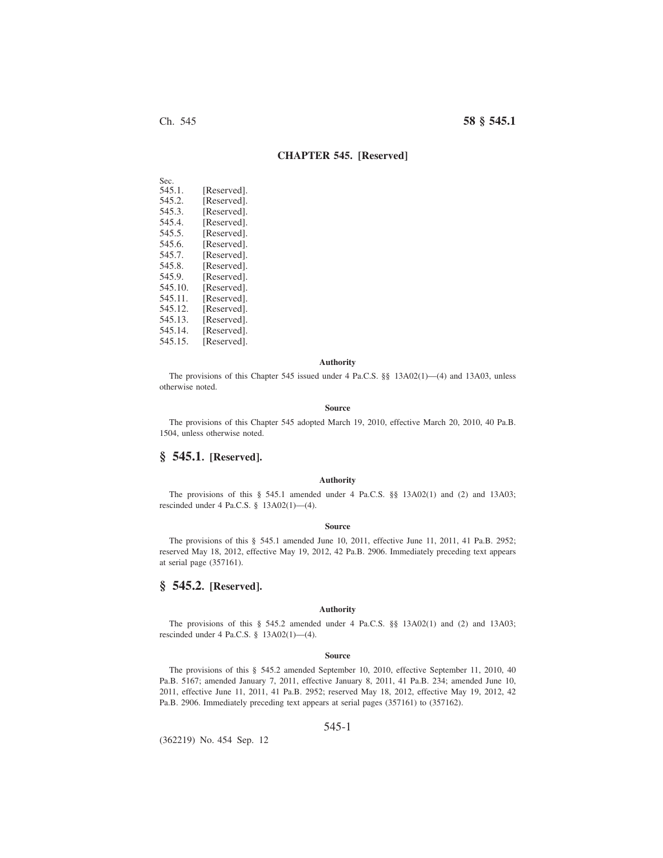# Ch. 545 **58 § 545.1**

## **CHAPTER 545. [Reserved]**

| Sec.    |             |
|---------|-------------|
| 545.1.  | [Reserved]. |
| 545.2.  | [Reserved]. |
| 545.3.  | [Reserved]. |
| 545.4.  | [Reserved]. |
| 545.5.  | [Reserved]. |
| 545.6.  | [Reserved]. |
| 545.7.  | [Reserved]. |
| 545.8.  | [Reserved]. |
| 545.9.  | [Reserved]. |
| 545.10. | [Reserved]. |
| 545.11. | [Reserved]. |
| 545.12. | [Reserved]. |
| 545.13. | [Reserved]. |
| 545.14. | [Reserved]. |
| 545.15. | [Reserved]. |
|         |             |

### **Authority**

The provisions of this Chapter 545 issued under 4 Pa.C.S. §§ 13A02(1)—(4) and 13A03, unless otherwise noted.

#### **Source**

The provisions of this Chapter 545 adopted March 19, 2010, effective March 20, 2010, 40 Pa.B. 1504, unless otherwise noted.

## **§ 545.1. [Reserved].**

### **Authority**

The provisions of this § 545.1 amended under 4 Pa.C.S. §§ 13A02(1) and (2) and 13A03; rescinded under 4 Pa.C.S. § 13A02(1)—(4).

#### **Source**

The provisions of this § 545.1 amended June 10, 2011, effective June 11, 2011, 41 Pa.B. 2952; reserved May 18, 2012, effective May 19, 2012, 42 Pa.B. 2906. Immediately preceding text appears at serial page (357161).

## **§ 545.2. [Reserved].**

#### **Authority**

The provisions of this § 545.2 amended under 4 Pa.C.S. §§ 13A02(1) and (2) and 13A03; rescinded under 4 Pa.C.S. § 13A02(1)—(4).

#### **Source**

The provisions of this § 545.2 amended September 10, 2010, effective September 11, 2010, 40 Pa.B. 5167; amended January 7, 2011, effective January 8, 2011, 41 Pa.B. 234; amended June 10, 2011, effective June 11, 2011, 41 Pa.B. 2952; reserved May 18, 2012, effective May 19, 2012, 42 Pa.B. 2906. Immediately preceding text appears at serial pages (357161) to (357162).

## 545-1

(362219) No. 454 Sep. 12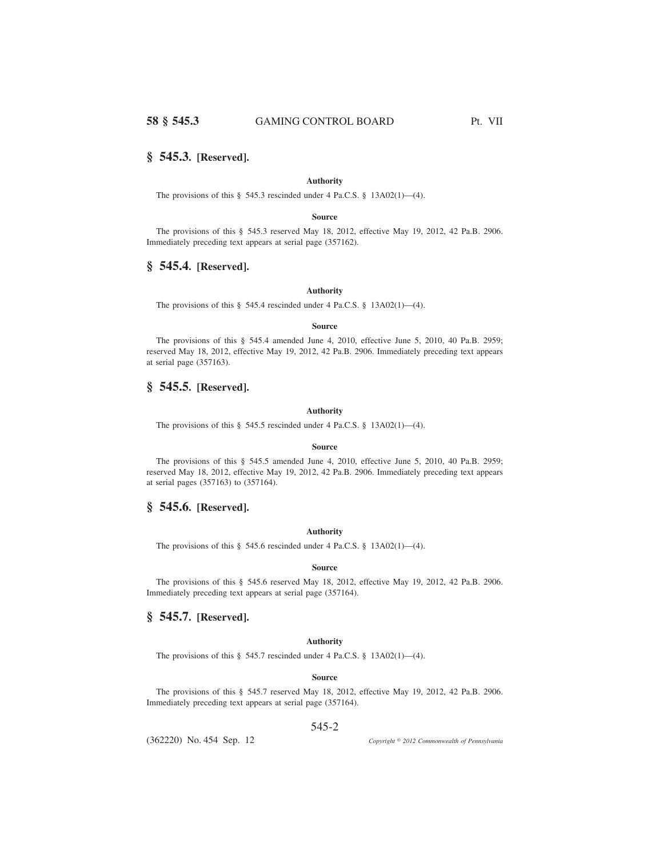## **§ 545.3. [Reserved].**

## **Authority**

The provisions of this § 545.3 rescinded under 4 Pa.C.S. § 13A02(1)—(4).

### **Source**

The provisions of this § 545.3 reserved May 18, 2012, effective May 19, 2012, 42 Pa.B. 2906. Immediately preceding text appears at serial page (357162).

## **§ 545.4. [Reserved].**

## **Authority**

The provisions of this § 545.4 rescinded under 4 Pa.C.S. § 13A02(1)—(4).

### **Source**

The provisions of this § 545.4 amended June 4, 2010, effective June 5, 2010, 40 Pa.B. 2959; reserved May 18, 2012, effective May 19, 2012, 42 Pa.B. 2906. Immediately preceding text appears at serial page (357163).

# **§ 545.5. [Reserved].**

### **Authority**

The provisions of this § 545.5 rescinded under 4 Pa.C.S. § 13A02(1)-(4).

#### **Source**

The provisions of this § 545.5 amended June 4, 2010, effective June 5, 2010, 40 Pa.B. 2959; reserved May 18, 2012, effective May 19, 2012, 42 Pa.B. 2906. Immediately preceding text appears at serial pages (357163) to (357164).

# **§ 545.6. [Reserved].**

## **Authority**

The provisions of this § 545.6 rescinded under 4 Pa.C.S. § 13A02(1)—(4).

#### **Source**

The provisions of this § 545.6 reserved May 18, 2012, effective May 19, 2012, 42 Pa.B. 2906. Immediately preceding text appears at serial page (357164).

# **§ 545.7. [Reserved].**

## **Authority**

The provisions of this § 545.7 rescinded under 4 Pa.C.S. § 13A02(1)—(4).

## **Source**

The provisions of this § 545.7 reserved May 18, 2012, effective May 19, 2012, 42 Pa.B. 2906. Immediately preceding text appears at serial page (357164).

## 545-2

(362220) No. 454 Sep. 12

*2012 Commonwealth of Pennsylvania*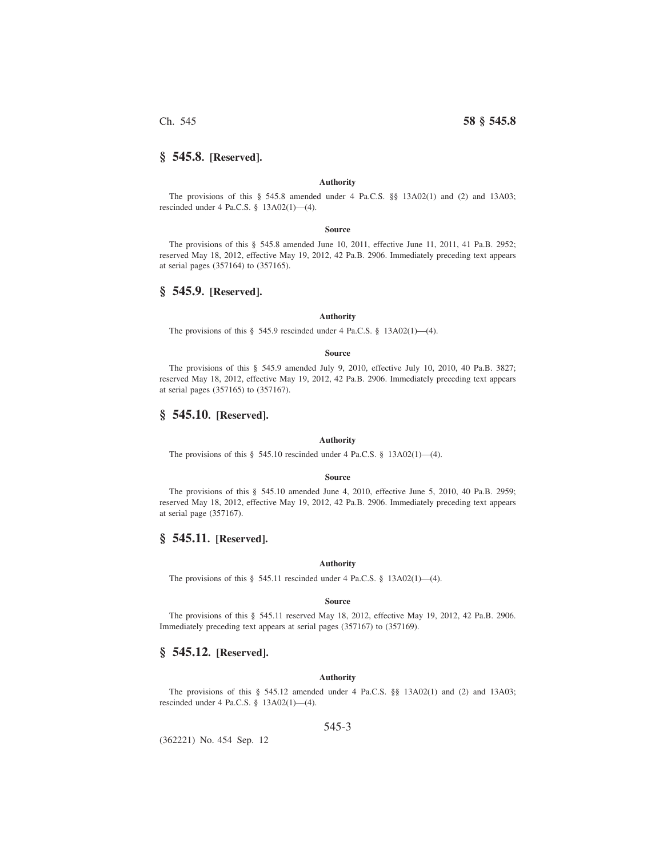# **§ 545.8. [Reserved].**

#### **Authority**

The provisions of this § 545.8 amended under 4 Pa.C.S. §§ 13A02(1) and (2) and 13A03; rescinded under 4 Pa.C.S. § 13A02(1)—(4).

#### **Source**

The provisions of this § 545.8 amended June 10, 2011, effective June 11, 2011, 41 Pa.B. 2952; reserved May 18, 2012, effective May 19, 2012, 42 Pa.B. 2906. Immediately preceding text appears at serial pages (357164) to (357165).

## **§ 545.9. [Reserved].**

### **Authority**

The provisions of this § 545.9 rescinded under 4 Pa.C.S. § 13A02(1)—(4).

#### **Source**

The provisions of this § 545.9 amended July 9, 2010, effective July 10, 2010, 40 Pa.B. 3827; reserved May 18, 2012, effective May 19, 2012, 42 Pa.B. 2906. Immediately preceding text appears at serial pages (357165) to (357167).

## **§ 545.10. [Reserved].**

## **Authority**

The provisions of this  $\S$  545.10 rescinded under 4 Pa.C.S.  $\S$  13A02(1)—(4).

## **Source**

The provisions of this § 545.10 amended June 4, 2010, effective June 5, 2010, 40 Pa.B. 2959; reserved May 18, 2012, effective May 19, 2012, 42 Pa.B. 2906. Immediately preceding text appears at serial page (357167).

## **§ 545.11. [Reserved].**

## **Authority**

The provisions of this § 545.11 rescinded under 4 Pa.C.S. § 13A02(1)—(4).

#### **Source**

The provisions of this § 545.11 reserved May 18, 2012, effective May 19, 2012, 42 Pa.B. 2906. Immediately preceding text appears at serial pages (357167) to (357169).

## **§ 545.12. [Reserved].**

### **Authority**

The provisions of this § 545.12 amended under 4 Pa.C.S. §§ 13A02(1) and (2) and 13A03; rescinded under 4 Pa.C.S. § 13A02(1)—(4).

## 545-3

(362221) No. 454 Sep. 12